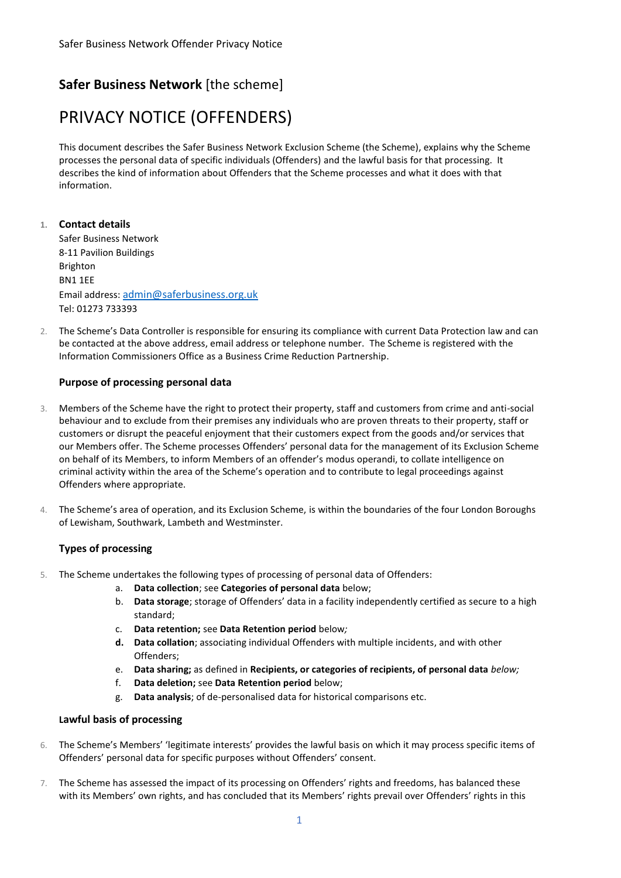# **Safer Business Network** [the scheme]

# PRIVACY NOTICE (OFFENDERS)

This document describes the Safer Business Network Exclusion Scheme (the Scheme), explains why the Scheme processes the personal data of specific individuals (Offenders) and the lawful basis for that processing. It describes the kind of information about Offenders that the Scheme processes and what it does with that information.

## **1. Contact details**

Safer Business Network 8-11 Pavilion Buildings Brighton BN1 1EE Email address: [admin@saferbusiness.org.uk](mailto:admin@saferbusiness.org.uk) Tel: 01273 733393

2. The Scheme's Data Controller is responsible for ensuring its compliance with current Data Protection law and can be contacted at the above address, email address or telephone number. The Scheme is registered with the Information Commissioners Office as a Business Crime Reduction Partnership.

### **Purpose of processing personal data**

- 3. Members of the Scheme have the right to protect their property, staff and customers from crime and anti-social behaviour and to exclude from their premises any individuals who are proven threats to their property, staff or customers or disrupt the peaceful enjoyment that their customers expect from the goods and/or services that our Members offer. The Scheme processes Offenders' personal data for the management of its Exclusion Scheme on behalf of its Members, to inform Members of an offender's modus operandi, to collate intelligence on criminal activity within the area of the Scheme's operation and to contribute to legal proceedings against Offenders where appropriate.
- 4. The Scheme's area of operation, and its Exclusion Scheme, is within the boundaries of the four London Boroughs of Lewisham, Southwark, Lambeth and Westminster.

### **Types of processing**

- 5. The Scheme undertakes the following types of processing of personal data of Offenders:
	- a. **Data collection**; see **Categories of personal data** below;
	- b. **Data storage**; storage of Offenders' data in a facility independently certified as secure to a high standard;
	- c. **Data retention;** see **Data Retention period** below*;*
	- **d. Data collation**; associating individual Offenders with multiple incidents, and with other Offenders;
	- e. **Data sharing;** as defined in **Recipients, or categories of recipients, of personal data** *below;*
	- f. **Data deletion;** see **Data Retention period** below;
	- g. **Data analysis**; of de-personalised data for historical comparisons etc.

### **Lawful basis of processing**

- 6. The Scheme's Members' 'legitimate interests' provides the lawful basis on which it may process specific items of Offenders' personal data for specific purposes without Offenders' consent.
- 7. The Scheme has assessed the impact of its processing on Offenders' rights and freedoms, has balanced these with its Members' own rights, and has concluded that its Members' rights prevail over Offenders' rights in this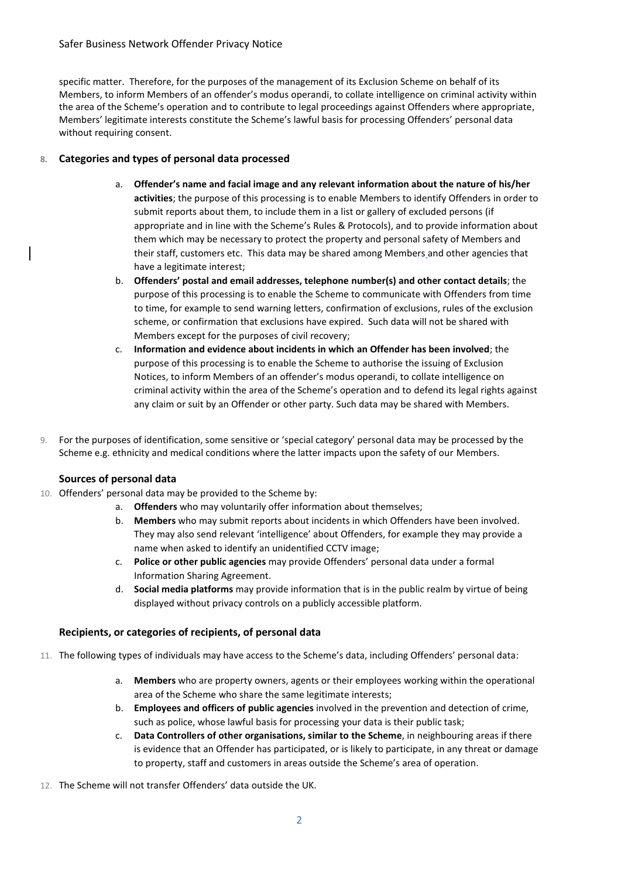#### Safer Business Network Offender Privacy Notice

specific matter. Therefore, for the purposes of the management of its Exclusion Scheme on behalf of its Members, to inform Members of an offender's modus operandi, to collate intelligence on criminal activity within the area of the Scheme's operation and to contribute to legal proceedings against Offenders where appropriate, Members' legitimate interests constitute the Scheme's lawful basis for processing Offenders' personal data without requiring consent.

#### **8. Categories and types of personal data processed**

- a. **Offender's name and facial image and any relevant information about the nature of his/her activities**; the purpose of this processing is to enable Members to identify Offenders in order to submit reports about them, to include them in a list or gallery of excluded persons (if appropriate and in line with the Scheme's Rules & Protocols), and to provide information about them which may be necessary to protect the property and personal safety of Members and their staff, customers etc. This data may be shared among Members and other agencies that have a legitimate interest;
- b. **Offenders' postal and email addresses, telephone number(s) and other contact details**; the purpose of this processing is to enable the Scheme to communicate with Offenders from time to time, for example to send warning letters, confirmation of exclusions, rules of the exclusion scheme, or confirmation that exclusions have expired. Such data will not be shared with Members except for the purposes of civil recovery;
- c. **Information and evidence about incidents in which an Offender has been involved**; the purpose of this processing is to enable the Scheme to authorise the issuing of Exclusion Notices, to inform Members of an offender's modus operandi, to collate intelligence on criminal activity within the area of the Scheme's operation and to defend its legal rights against any claim or suit by an Offender or other party. Such data may be shared with Members.
- 9. For the purposes of identification, some sensitive or 'special category' personal data may be processed by the Scheme e.g. ethnicity and medical conditions where the latter impacts upon the safety of our Members.

#### **Sources of personal data**

- 10. Offenders' personal data may be provided to the Scheme by:
	- a. **Offenders** who may voluntarily offer information about themselves;
	- b. **Members** who may submit reports about incidents in which Offenders have been involved. They may also send relevant 'intelligence' about Offenders, for example they may provide a name when asked to identify an unidentified CCTV image;
	- c. **Police or other public agencies** may provide Offenders' personal data under a formal Information Sharing Agreement.
	- d. **Social media platforms** may provide information that is in the public realm by virtue of being displayed without privacy controls on a publicly accessible platform.

#### **Recipients, or categories of recipients, of personal data**

- 11. The following types of individuals may have access to the Scheme's data, including Offenders' personal data:
	- a. **Members** who are property owners, agents or their employees working within the operational area of the Scheme who share the same legitimate interests;
	- b. **Employees and officers of public agencies** involved in the prevention and detection of crime, such as police, whose lawful basis for processing your data is their public task;
	- c. **Data Controllers of other organisations, similar to the Scheme**, in neighbouring areas if there is evidence that an Offender has participated, or is likely to participate, in any threat or damage to property, staff and customers in areas outside the Scheme's area of operation.
- 12. The Scheme will not transfer Offenders' data outside the UK.